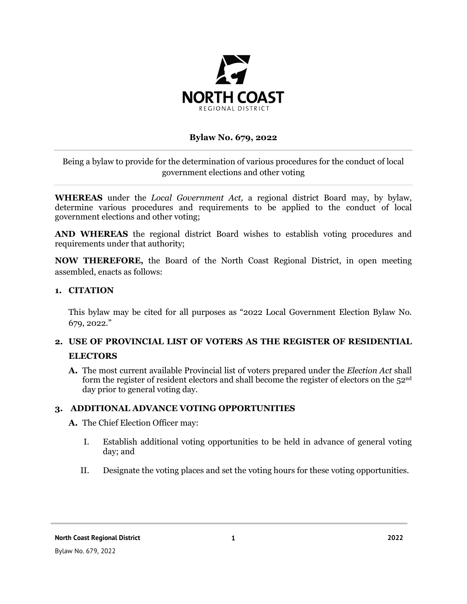

### **Bylaw No. 679, 2022**

Being a bylaw to provide for the determination of various procedures for the conduct of local government elections and other voting

**WHEREAS** under the *Local Government Act,* a regional district Board may, by bylaw, determine various procedures and requirements to be applied to the conduct of local government elections and other voting;

**AND WHEREAS** the regional district Board wishes to establish voting procedures and requirements under that authority;

**NOW THEREFORE,** the Board of the North Coast Regional District, in open meeting assembled, enacts as follows:

### **1. CITATION**

This bylaw may be cited for all purposes as "2022 Local Government Election Bylaw No. 679, 2022."

# **2. USE OF PROVINCIAL LIST OF VOTERS AS THE REGISTER OF RESIDENTIAL ELECTORS**

**A.** The most current available Provincial list of voters prepared under the *Election Act* shall form the register of resident electors and shall become the register of electors on the 52nd day prior to general voting day.

### **3. ADDITIONAL ADVANCE VOTING OPPORTUNITIES**

- **A.** The Chief Election Officer may:
	- I. Establish additional voting opportunities to be held in advance of general voting day; and
	- II. Designate the voting places and set the voting hours for these voting opportunities.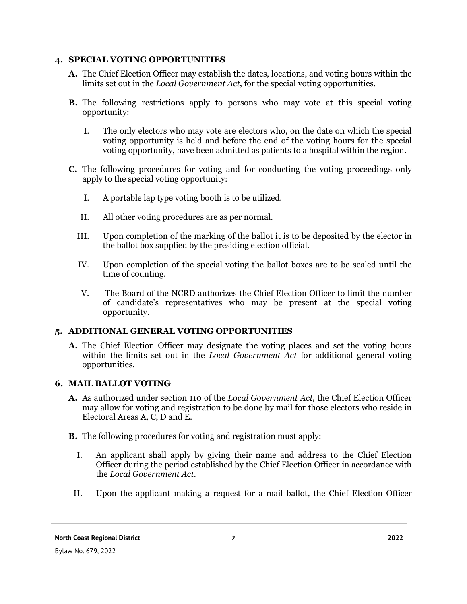### **4. SPECIAL VOTING OPPORTUNITIES**

- **A.** The Chief Election Officer may establish the dates, locations, and voting hours within the limits set out in the *Local Government Act*, for the special voting opportunities.
- **B.** The following restrictions apply to persons who may vote at this special voting opportunity:
	- I. The only electors who may vote are electors who, on the date on which the special voting opportunity is held and before the end of the voting hours for the special voting opportunity, have been admitted as patients to a hospital within the region.
- **C.** The following procedures for voting and for conducting the voting proceedings only apply to the special voting opportunity:
	- I. A portable lap type voting booth is to be utilized.
	- II. All other voting procedures are as per normal.
	- III. Upon completion of the marking of the ballot it is to be deposited by the elector in the ballot box supplied by the presiding election official.
	- IV. Upon completion of the special voting the ballot boxes are to be sealed until the time of counting.
	- V. The Board of the NCRD authorizes the Chief Election Officer to limit the number of candidate's representatives who may be present at the special voting opportunity.

## **5. ADDITIONAL GENERAL VOTING OPPORTUNITIES**

**A.** The Chief Election Officer may designate the voting places and set the voting hours within the limits set out in the *Local Government Act* for additional general voting opportunities.

# **6. MAIL BALLOT VOTING**

- **A.** As authorized under section 110 of the *Local Government Act*, the Chief Election Officer may allow for voting and registration to be done by mail for those electors who reside in Electoral Areas A, C, D and E.
- **B.** The following procedures for voting and registration must apply:
	- I. An applicant shall apply by giving their name and address to the Chief Election Officer during the period established by the Chief Election Officer in accordance with the *Local Government Act.*
- II. Upon the applicant making a request for a mail ballot, the Chief Election Officer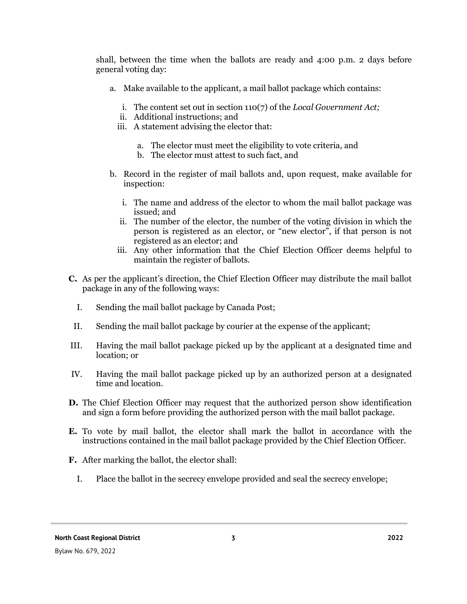shall, between the time when the ballots are ready and 4:00 p.m. 2 days before general voting day:

- a. Make available to the applicant, a mail ballot package which contains:
	- i. The content set out in section 110(7) of the *Local Government Act;*
	- ii. Additional instructions; and
	- iii. A statement advising the elector that:
		- a. The elector must meet the eligibility to vote criteria, and
		- b. The elector must attest to such fact, and
- b. Record in the register of mail ballots and, upon request, make available for inspection:
	- i. The name and address of the elector to whom the mail ballot package was issued; and
	- ii. The number of the elector, the number of the voting division in which the person is registered as an elector, or "new elector", if that person is not registered as an elector; and
	- iii. Any other information that the Chief Election Officer deems helpful to maintain the register of ballots.
- **C.** As per the applicant's direction, the Chief Election Officer may distribute the mail ballot package in any of the following ways:
	- I. Sending the mail ballot package by Canada Post;
- II. Sending the mail ballot package by courier at the expense of the applicant;
- III. Having the mail ballot package picked up by the applicant at a designated time and location; or
- IV. Having the mail ballot package picked up by an authorized person at a designated time and location.
- **D.** The Chief Election Officer may request that the authorized person show identification and sign a form before providing the authorized person with the mail ballot package.
- **E.** To vote by mail ballot, the elector shall mark the ballot in accordance with the instructions contained in the mail ballot package provided by the Chief Election Officer.
- **F.** After marking the ballot, the elector shall:
	- I. Place the ballot in the secrecy envelope provided and seal the secrecy envelope;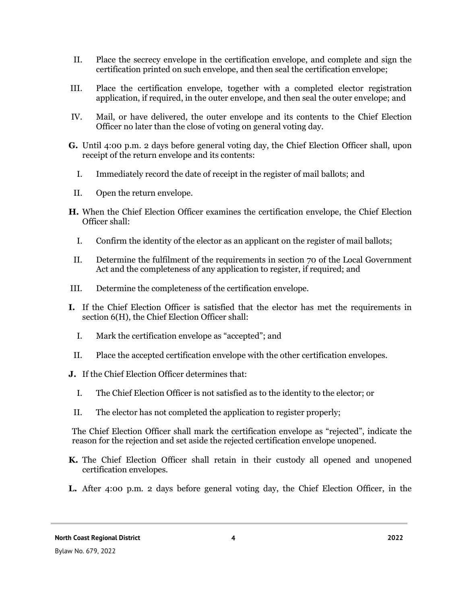- II. Place the secrecy envelope in the certification envelope, and complete and sign the certification printed on such envelope, and then seal the certification envelope;
- III. Place the certification envelope, together with a completed elector registration application, if required, in the outer envelope, and then seal the outer envelope; and
- IV. Mail, or have delivered, the outer envelope and its contents to the Chief Election Officer no later than the close of voting on general voting day.
- **G.** Until 4:00 p.m. 2 days before general voting day, the Chief Election Officer shall, upon receipt of the return envelope and its contents:
	- I. Immediately record the date of receipt in the register of mail ballots; and
- II. Open the return envelope.
- **H.** When the Chief Election Officer examines the certification envelope, the Chief Election Officer shall:
	- I. Confirm the identity of the elector as an applicant on the register of mail ballots;
- II. Determine the fulfilment of the requirements in section 70 of the Local Government Act and the completeness of any application to register, if required; and
- III. Determine the completeness of the certification envelope.
- **I.** If the Chief Election Officer is satisfied that the elector has met the requirements in section 6(H), the Chief Election Officer shall:
	- I. Mark the certification envelope as "accepted"; and
- II. Place the accepted certification envelope with the other certification envelopes.
- **J.** If the Chief Election Officer determines that:
	- I. The Chief Election Officer is not satisfied as to the identity to the elector; or
- II. The elector has not completed the application to register properly;

The Chief Election Officer shall mark the certification envelope as "rejected", indicate the reason for the rejection and set aside the rejected certification envelope unopened.

- **K.** The Chief Election Officer shall retain in their custody all opened and unopened certification envelopes.
- **L.** After 4:00 p.m. 2 days before general voting day, the Chief Election Officer, in the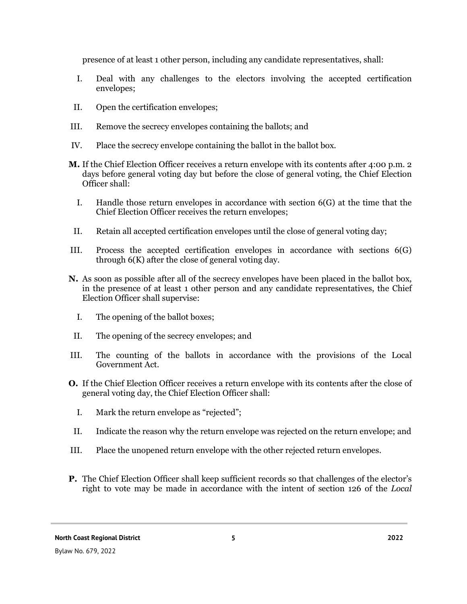presence of at least 1 other person, including any candidate representatives, shall:

- I. Deal with any challenges to the electors involving the accepted certification envelopes;
- II. Open the certification envelopes;
- III. Remove the secrecy envelopes containing the ballots; and
- IV. Place the secrecy envelope containing the ballot in the ballot box.
- **M.** If the Chief Election Officer receives a return envelope with its contents after 4:00 p.m. 2 days before general voting day but before the close of general voting, the Chief Election Officer shall:
	- I. Handle those return envelopes in accordance with section 6(G) at the time that the Chief Election Officer receives the return envelopes;
- II. Retain all accepted certification envelopes until the close of general voting day;
- III. Process the accepted certification envelopes in accordance with sections 6(G) through 6(K) after the close of general voting day.
- **N.** As soon as possible after all of the secrecy envelopes have been placed in the ballot box, in the presence of at least 1 other person and any candidate representatives, the Chief Election Officer shall supervise:
	- I. The opening of the ballot boxes;
- II. The opening of the secrecy envelopes; and
- III. The counting of the ballots in accordance with the provisions of the Local Government Act.
- **O.** If the Chief Election Officer receives a return envelope with its contents after the close of general voting day, the Chief Election Officer shall:
	- I. Mark the return envelope as "rejected";
- II. Indicate the reason why the return envelope was rejected on the return envelope; and
- III. Place the unopened return envelope with the other rejected return envelopes.
- **P.** The Chief Election Officer shall keep sufficient records so that challenges of the elector's right to vote may be made in accordance with the intent of section 126 of the *Local*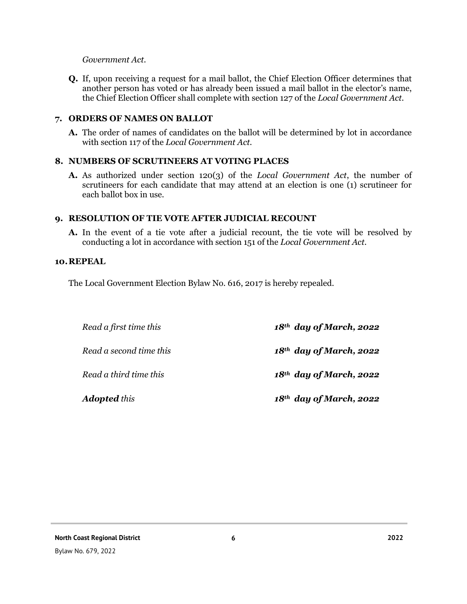### *Government Act.*

**Q.** If, upon receiving a request for a mail ballot, the Chief Election Officer determines that another person has voted or has already been issued a mail ballot in the elector's name, the Chief Election Officer shall complete with section 127 of the *Local Government Act.*

### **7. ORDERS OF NAMES ON BALLOT**

**A.** The order of names of candidates on the ballot will be determined by lot in accordance with section 117 of the *Local Government Act*.

### **8. NUMBERS OF SCRUTINEERS AT VOTING PLACES**

**A.** As authorized under section 120(3) of the *Local Government Act*, the number of scrutineers for each candidate that may attend at an election is one (1) scrutineer for each ballot box in use.

### **9. RESOLUTION OF TIE VOTE AFTER JUDICIAL RECOUNT**

**A.** In the event of a tie vote after a judicial recount, the tie vote will be resolved by conducting a lot in accordance with section 151 of the *Local Government Act.*

#### **10.REPEAL**

The Local Government Election Bylaw No. 616, 2017 is hereby repealed.

| Read a first time this  | $18th$ day of March, 2022 |
|-------------------------|---------------------------|
| Read a second time this | $18th$ day of March, 2022 |
| Read a third time this  | $18th$ day of March, 2022 |
| <b>Adopted</b> this     | $18th$ day of March, 2022 |